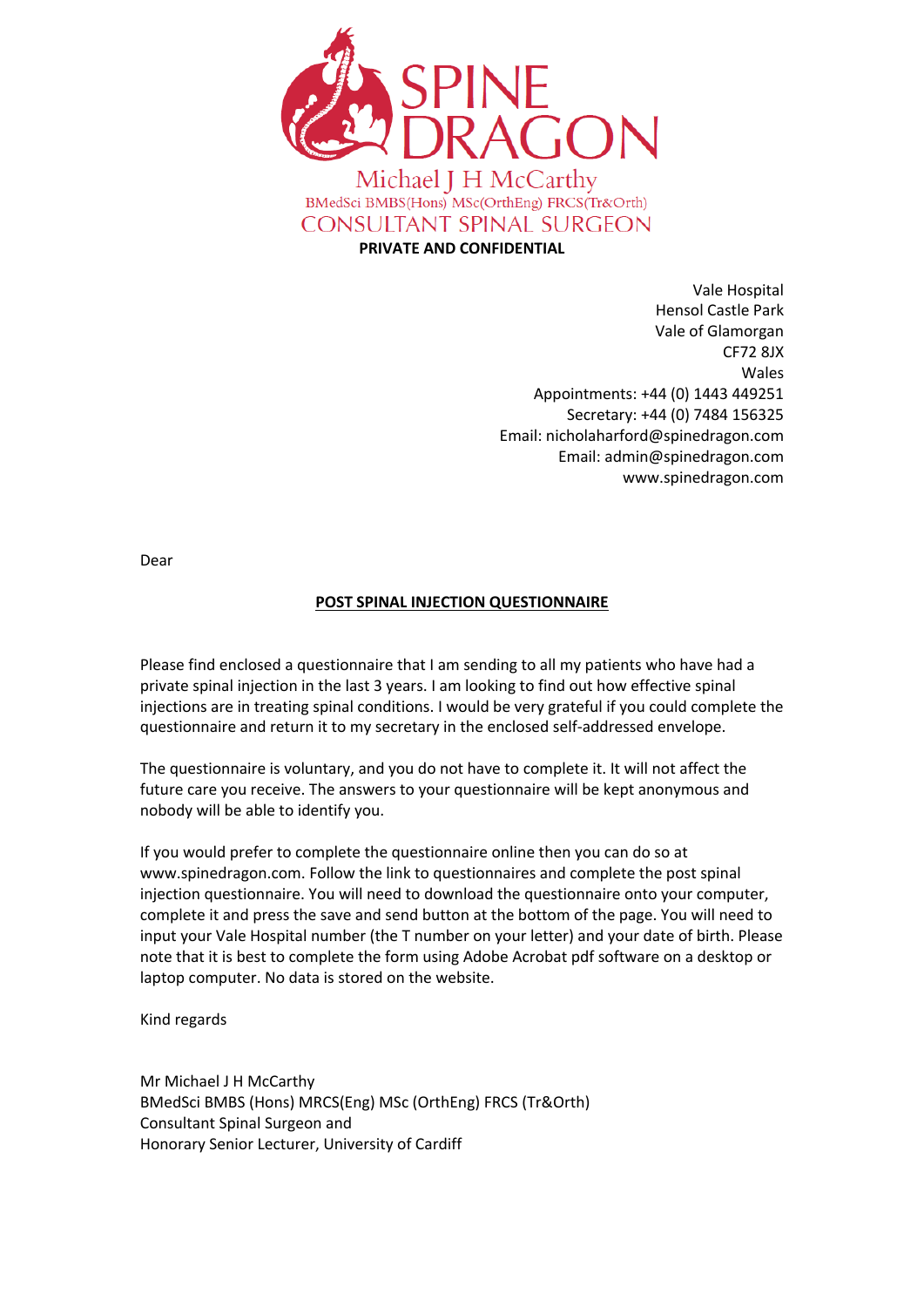

**PRIVATE AND CONFIDENTIAL**

Vale Hospital Hensol Castle Park Vale of Glamorgan CF72 8JX Wales Appointments: +44 (0) 1443 449251 Secretary: +44 (0) 7484 156325 Email: nicholaharford@spinedragon.com Email: admin@spinedragon.com www.spinedragon.com

Dear

## **POST SPINAL INJECTION QUESTIONNAIRE**

Please find enclosed a questionnaire that I am sending to all my patients who have had a private spinal injection in the last 3 years. I am looking to find out how effective spinal injections are in treating spinal conditions. I would be very grateful if you could complete the questionnaire and return it to my secretary in the enclosed self-addressed envelope.

The questionnaire is voluntary, and you do not have to complete it. It will not affect the future care you receive. The answers to your questionnaire will be kept anonymous and nobody will be able to identify you.

If you would prefer to complete the questionnaire online then you can do so at www.spinedragon.com. Follow the link to questionnaires and complete the post spinal injection questionnaire. You will need to download the questionnaire onto your computer, complete it and press the save and send button at the bottom of the page. You will need to input your Vale Hospital number (the T number on your letter) and your date of birth. Please note that it is best to complete the form using Adobe Acrobat pdf software on a desktop or laptop computer. No data is stored on the website.

Kind regards

Mr Michael J H McCarthy BMedSci BMBS (Hons) MRCS(Eng) MSc (OrthEng) FRCS (Tr&Orth) Consultant Spinal Surgeon and Honorary Senior Lecturer, University of Cardiff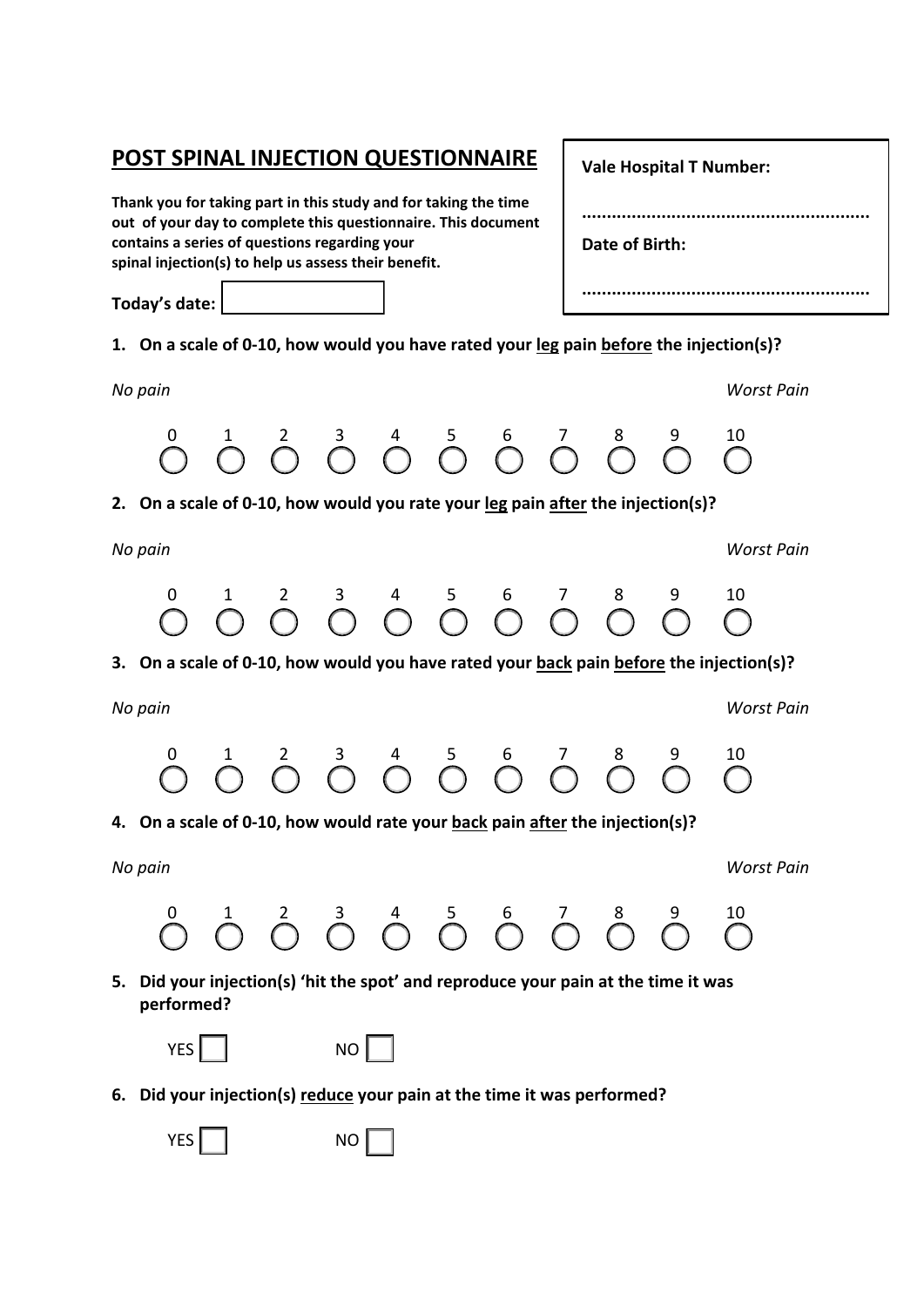## **POST SPINAL INJECTION QUESTIONNAIRE**

**Thank you for taking part in this study and for taking the time out of your day to complete this questionnaire. This document contains a series of questions regarding your spinal injection(s) to help us assess their benefit.**

**Today's date:** 

**1. On a scale of 0-10, how would you have rated your leg pain before the injection(s)?**

**2. On a scale of 0-10, how would you rate your leg pain after the injection(s)?**

*No pain Worst Pain*

**Vale Hospital T Number: .......................................................... Date of Birth: ..........................................................**

*No pain Worst Pain* 0 1 2 3 4 5 6 7 8 9 10

 $\bigcirc$   $\bigcirc$   $\bigcirc$   $\bigcirc$   $\bigcirc$   $\bigcirc$   $\bigcirc$   $\bigcirc$   $\bigcirc$   $\bigcirc$   $\bigcirc$   $\bigcirc$   $\bigcirc$   $\bigcirc$ 

**3. On a scale of 0-10, how would you have rated your back pain before the injection(s)?**

*No pain Worst Pain*



**4. On a scale of 0-10, how would rate your back pain after the injection(s)?**

*No pain Worst Pain*



**5. Did your injection(s) 'hit the spot' and reproduce your pain at the time it was performed?**

|--|--|

- $NO$
- **6. Did your injection(s) reduce your pain at the time it was performed?**

YES NO